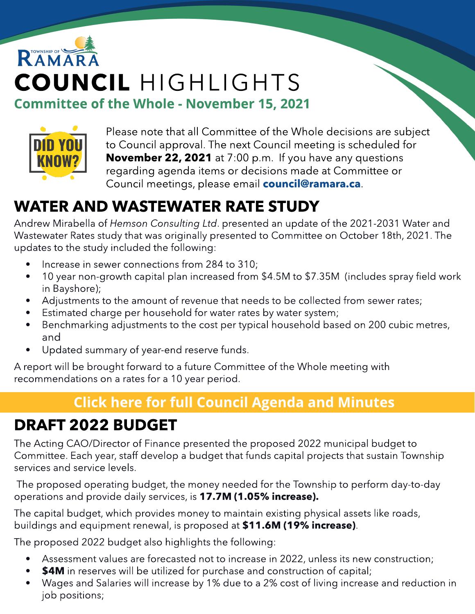# RAMAR COUNCIL HIGHLIGHTS Committee of the Whole - November 15, 2021



Please note that all Committee of the Whole decisions are subject to Council approval. The next Council meeting is scheduled for **November 22, 2021** at 7:00 p.m. If you have any questions regarding agenda items or decisions made at Committee or Council meetings, please email **[council@ramara.ca](mailto:council@ramara.ca)**.

## WATER AND WASTEWATER RATE STUDY

Andrew Mirabella of **Hemson Consulting Ltd**. presented an update of the 2021-2031 Water and Wastewater Rates study that was originally presented to Committee on October 18th, 2021. The updates to the study included the following:

- Increase in sewer connections from 284 to 310;
- 10 year non-growth capital plan increased from \$4.5M to \$7.35M (includes spray field work in Bayshore);
- Adjustments to the amount of revenue that needs to be collected from sewer rates;
- Estimated charge per household for water rates by water system;
- Benchmarking adjustments to the cost per typical household based on 200 cubic metres, and
- Updated summary of year-end reserve funds.

A report will be brought forward to a future Committee of the Whole meeting with recommendations on a rates for a 10 year period.

### **[Click](https://ramara.civicweb.net/portal/) [here](https://ramara.civicweb.net/portal/) [for](https://ramara.civicweb.net/portal/) [full](https://ramara.civicweb.net/portal/) [Council](https://ramara.civicweb.net/portal/) [Agenda](https://ramara.civicweb.net/portal/) [and](https://ramara.civicweb.net/portal/) [Minut](https://ramara.civicweb.net/portal/)es**

## DRAFT 2022 BUDGET

The Acting CAO/Director of Finance presented the proposed 2022 municipal budget to Committee. Each year, staff develop a budget that funds capital projects that sustain Township services and service levels.

The proposed operating budget, the money needed for the Township to perform day-to-day operations and provide daily services, is 17.7M (1.05% increase).

The capital budget, which provides money to maintain existing physical assets like roads, buildings and equipment renewal, is proposed at \$11.6M (19% increase).

The proposed 2022 budget also highlights the following:

- Assessment values are forecasted not to increase in 2022, unless its new construction;
- **\$4M** in reserves will be utilized for purchase and construction of capital;
- Wages and Salaries will increase by 1% due to a 2% cost of living increase and reduction in job positions;